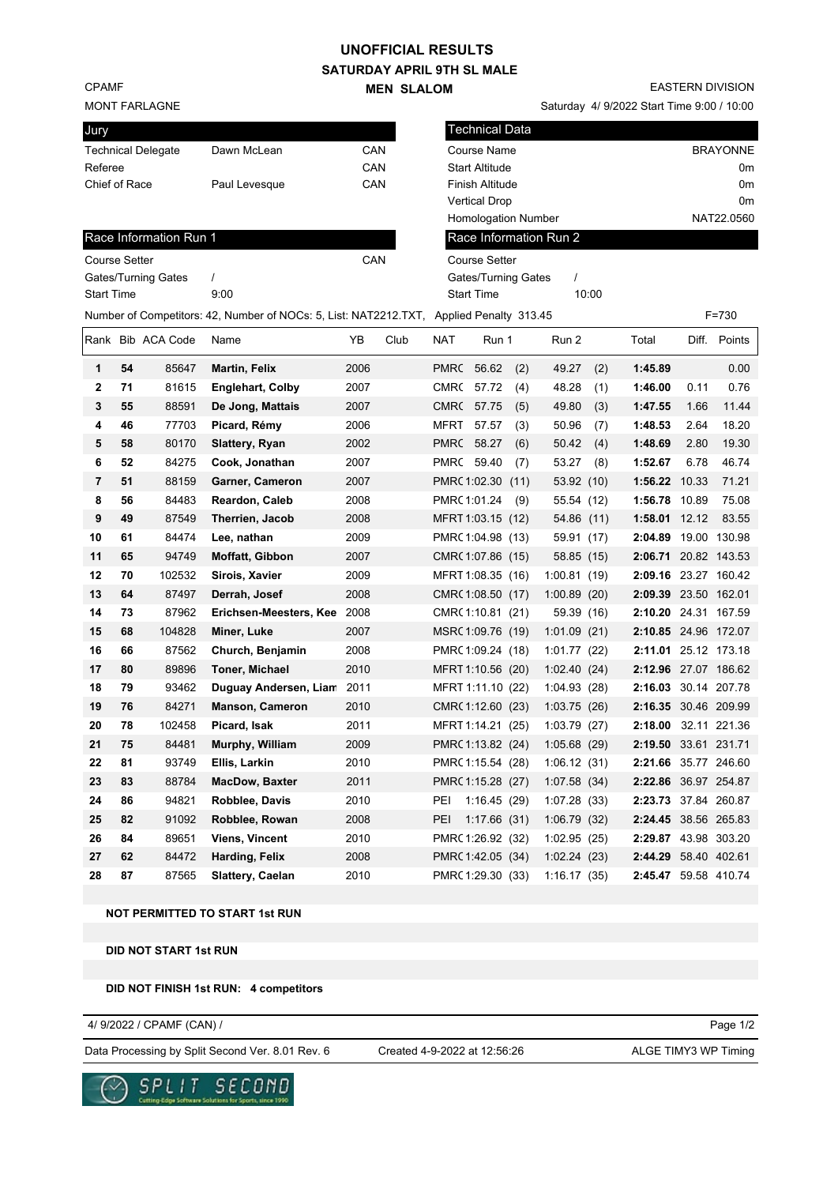## **UNOFFICIAL RESULTS**

### **SATURDAY APRIL 9TH SL MALE MEN SLALOM**

CPAMF

MONT FARLAGNE

| Jury                      |               |     |
|---------------------------|---------------|-----|
| <b>Technical Delegate</b> | Dawn McLean   | CAN |
| Referee                   |               | CAN |
| Chief of Race             | Paul Levesque | CAN |

EASTERN DIVISION

Saturday 4/ 9/2022 Start Time 9:00 / 10:00

| Technical Data             |                 |
|----------------------------|-----------------|
| Course Name                | <b>BRAYONNE</b> |
| <b>Start Altitude</b>      | 0m              |
| <b>Finish Altitude</b>     | 0m              |
| <b>Vertical Drop</b>       | 0m              |
| <b>Homologation Number</b> | NAT22.0560      |
| Race Information Run 2     |                 |

Gates/Turning Gates / Start Time 10:00

Course Setter

# Race Information Run 1 Course Setter CAN Gates/Turning Gates / Start Time 9:00 Number of Competitors: 42, Number of NOCs: 5, List: NAT2212.TXT, Applied Penalty 313.45 F=730 Rank Rib ACA Code Name YB Club NAT Run 1 Run 2 Total Diff. Points

| Rank           |    | BID ACA CODE | name                    | YB   | Ciup | <b>NAT</b>  | Run 1             |      | Run 2       |      | Total                | DIΠ.  | Points       |
|----------------|----|--------------|-------------------------|------|------|-------------|-------------------|------|-------------|------|----------------------|-------|--------------|
| 1              | 54 | 85647        | <b>Martin, Felix</b>    | 2006 |      |             | PMRC 56.62        | (2)  | 49.27       | (2)  | 1:45.89              |       | 0.00         |
| $\mathbf{2}$   | 71 | 81615        | <b>Englehart, Colby</b> | 2007 |      | CMR(        | 57.72             | (4)  | 48.28       | (1)  | 1:46.00              | 0.11  | 0.76         |
| 3              | 55 | 88591        | De Jong, Mattais        | 2007 |      | <b>CMR(</b> | 57.75             | (5)  | 49.80       | (3)  | 1:47.55              | 1.66  | 11.44        |
| 4              | 46 | 77703        | Picard, Rémy            | 2006 |      | <b>MFRT</b> | 57.57             | (3)  | 50.96       | (7)  | 1:48.53              | 2.64  | 18.20        |
| 5              | 58 | 80170        | Slattery, Ryan          | 2002 |      | <b>PMRC</b> | 58.27             | (6)  | 50.42       | (4)  | 1:48.69              | 2.80  | 19.30        |
| 6              | 52 | 84275        | Cook, Jonathan          | 2007 |      |             | PMRC 59.40        | (7)  | 53.27       | (8)  | 1:52.67              | 6.78  | 46.74        |
| $\overline{7}$ | 51 | 88159        | Garner, Cameron         | 2007 |      |             | PMRC 1:02.30      | (11) | 53.92       | (10) | 1:56.22              | 10.33 | 71.21        |
| 8              | 56 | 84483        | Reardon, Caleb          | 2008 |      |             | PMRC 1:01.24      | (9)  | 55.54 (12)  |      | 1:56.78 10.89        |       | 75.08        |
| 9              | 49 | 87549        | Therrien, Jacob         | 2008 |      |             | MFRT 1:03.15 (12) |      | 54.86 (11)  |      | 1:58.01 12.12        |       | 83.55        |
| 10             | 61 | 84474        | Lee, nathan             | 2009 |      |             | PMRC 1:04.98 (13) |      | 59.91 (17)  |      | 2:04.89              |       | 19.00 130.98 |
| 11             | 65 | 94749        | Moffatt, Gibbon         | 2007 |      |             | CMR(1:07.86 (15)  |      | 58.85 (15)  |      | 2:06.71 20.82 143.53 |       |              |
| 12             | 70 | 102532       | Sirois, Xavier          | 2009 |      |             | MFRT 1:08.35 (16) |      | 1:00.81     | (19) | 2:09.16 23.27 160.42 |       |              |
| 13             | 64 | 87497        | Derrah, Josef           | 2008 |      |             | CMR(1:08.50 (17)  |      | 1:00.89(20) |      | 2:09.39 23.50 162.01 |       |              |
| 14             | 73 | 87962        | Erichsen-Meesters, Kee  | 2008 |      |             | CMR(1:10.81 (21)  |      | 59.39 (16)  |      | 2:10.20 24.31 167.59 |       |              |
| 15             | 68 | 104828       | Miner, Luke             | 2007 |      |             | MSRC 1:09.76 (19) |      | 1:01.09     | (21) | 2:10.85 24.96 172.07 |       |              |
| 16             | 66 | 87562        | Church, Benjamin        | 2008 |      |             | PMRC 1:09.24 (18) |      | 1:01.77(22) |      | 2:11.01 25.12 173.18 |       |              |
| 17             | 80 | 89896        | <b>Toner, Michael</b>   | 2010 |      |             | MFRT 1:10.56 (20) |      | 1:02.40(24) |      | 2:12.96 27.07 186.62 |       |              |
| 18             | 79 | 93462        | Duguay Andersen, Liam   | 2011 |      |             | MFRT 1:11.10 (22) |      | 1:04.93     | (28) | 2:16.03 30.14 207.78 |       |              |
| 19             | 76 | 84271        | <b>Manson, Cameron</b>  | 2010 |      |             | CMR(1:12.60 (23)  |      | 1:03.75(26) |      | 2:16.35 30.46 209.99 |       |              |
| 20             | 78 | 102458       | Picard, Isak            | 2011 |      |             | MFRT 1:14.21 (25) |      | 1:03.79(27) |      | 2:18.00              |       | 32.11 221.36 |
| 21             | 75 | 84481        | Murphy, William         | 2009 |      |             | PMRC 1:13.82 (24) |      | 1:05.68(29) |      | 2:19.50 33.61 231.71 |       |              |
| 22             | 81 | 93749        | Ellis, Larkin           | 2010 |      |             | PMRC 1:15.54 (28) |      | 1:06.12(31) |      | 2:21.66 35.77 246.60 |       |              |
| 23             | 83 | 88784        | <b>MacDow, Baxter</b>   | 2011 |      |             | PMRC 1:15.28 (27) |      | 1:07.58(34) |      | 2:22.86 36.97 254.87 |       |              |
| 24             | 86 | 94821        | Robblee, Davis          | 2010 |      | PEI         | 1:16.45(29)       |      | 1:07.28     | (33) | 2:23.73 37.84 260.87 |       |              |
| 25             | 82 | 91092        | Robblee, Rowan          | 2008 |      | PEI         | 1:17.66(31)       |      | 1:06.79     | (32) | 2:24.45 38.56 265.83 |       |              |
| 26             | 84 | 89651        | <b>Viens, Vincent</b>   | 2010 |      |             | PMRC 1:26.92 (32) |      | 1:02.95     | (25) | 2:29.87 43.98 303.20 |       |              |
| 27             | 62 | 84472        | Harding, Felix          | 2008 |      |             | PMRC 1:42.05 (34) |      | 1:02.24(23) |      | 2:44.29 58.40 402.61 |       |              |
| 28             | 87 | 87565        | Slattery, Caelan        | 2010 |      |             | PMRC 1:29.30 (33) |      | 1:16.17(35) |      | 2:45.47 59.58 410.74 |       |              |

**NOT PERMITTED TO START 1st RUN**

**DID NOT START 1st RUN**

#### **DID NOT FINISH 1st RUN: 4 competitors**

4/ 9/2022 / CPAMF (CAN) /

Data Processing by Split Second Ver. 8.01 Rev. 6 Created 4-9-2022 at 12:56:26 ALGE TIMY3 WP Timing

Created 4-9-2022 at 12:56:26

Page 1/2